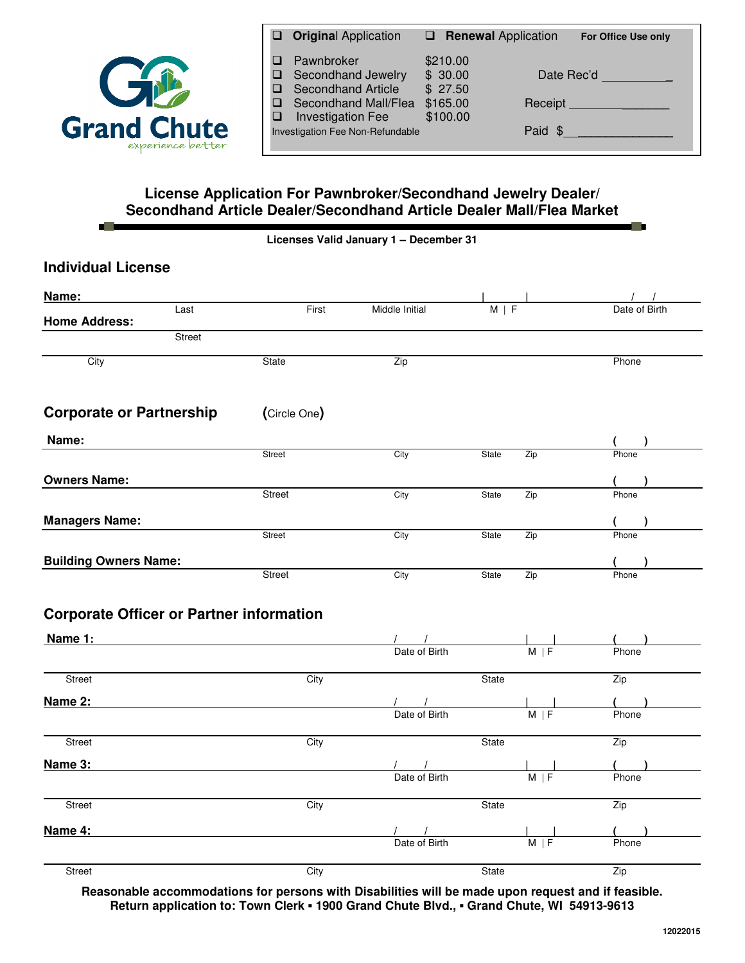

一滴

| <b>Original Application</b>                                                                                                                           | $\Box$ Renewal Application                             |         | <b>For Office Use only</b>                     |
|-------------------------------------------------------------------------------------------------------------------------------------------------------|--------------------------------------------------------|---------|------------------------------------------------|
| Pawnbroker<br>Secondhand Jewelry<br><b>Secondhand Article</b><br>Secondhand Mall/Flea<br><b>Investigation Fee</b><br>Investigation Fee Non-Refundable | \$210.00<br>\$30.00<br>\$27.50<br>\$165.00<br>\$100.00 | Paid \$ | Date Rec'd<br>Receipt <b>Executive Section</b> |

• ⊞

## **License Application For Pawnbroker/Secondhand Jewelry Dealer/ Secondhand Article Dealer/Secondhand Article Dealer Mall/Flea Market**

|  |  | Licenses Valid January 1 - December 31 |
|--|--|----------------------------------------|
|  |  |                                        |

| <b>Individual License</b>                       |              |                             |            |     |            |                     |
|-------------------------------------------------|--------------|-----------------------------|------------|-----|------------|---------------------|
| Name:                                           |              |                             |            |     |            |                     |
| Last<br><b>Home Address:</b>                    | First        | Middle Initial              | $M \mid F$ |     |            | Date of Birth       |
| <b>Street</b>                                   |              |                             |            |     |            |                     |
| City                                            | State        | Zip                         |            |     |            | Phone               |
| <b>Corporate or Partnership</b>                 | (Circle One) |                             |            |     |            |                     |
| Name:                                           |              |                             |            |     |            | (                   |
|                                                 | Street       | City                        | State      | Zip |            | Phone               |
| <b>Owners Name:</b>                             |              |                             |            |     |            |                     |
|                                                 | Street       | City                        | State      | Zip |            | Phone               |
| <b>Managers Name:</b>                           |              |                             |            |     |            | $($ )               |
|                                                 | Street       | City                        | State      | Zip |            | Phone               |
| <b>Building Owners Name:</b>                    |              |                             |            |     |            |                     |
|                                                 | Street       | City                        | State      | Zip |            | Phone               |
| <b>Corporate Officer or Partner information</b> |              |                             |            |     |            |                     |
| <b>Name 1:</b>                                  |              | Date of Birth               |            |     | $M \mid F$ | Phone               |
| Street                                          | City         |                             | State      |     |            | Zip                 |
| Name 2:                                         |              |                             |            |     |            |                     |
|                                                 |              | $\frac{1}{2}$ Date of Birth |            |     | $M \mid F$ | Phone               |
| Street                                          | City         |                             | State      |     |            | Zip                 |
| Name 3:                                         |              | $\frac{1}{2}$ Date of Birth |            |     |            | $\frac{1}{2}$ Phone |
|                                                 |              |                             |            |     | $M \mid F$ |                     |
| Street                                          | City         |                             | State      |     |            | Zip                 |
| Name 4:                                         |              |                             |            |     |            | $\sqrt{2}$          |
|                                                 |              | Date of Birth               |            |     | $M \mid F$ | Phone               |
|                                                 |              |                             |            |     |            |                     |

**Reasonable accommodations for persons with Disabilities will be made upon request and if feasible. Return application to: Town Clerk** ▪ **1900 Grand Chute Blvd.,** ▪ **Grand Chute, WI 54913-9613**